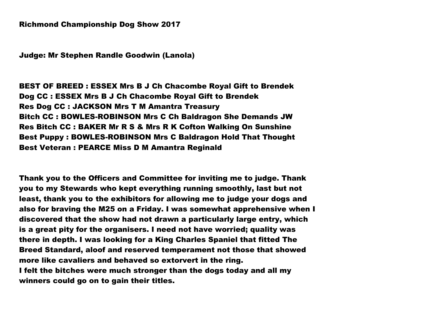Judge: Mr Stephen Randle Goodwin (Lanola)

BEST OF BREED : ESSEX Mrs B J Ch Chacombe Royal Gift to Brendek Dog CC : ESSEX Mrs B J Ch Chacombe Royal Gift to Brendek Res Dog CC : JACKSON Mrs T M Amantra Treasury Bitch CC : BOWLES-ROBINSON Mrs C Ch Baldragon She Demands JW Res Bitch CC : BAKER Mr R S & Mrs R K Cofton Walking On Sunshine Best Puppy : BOWLES-ROBINSON Mrs C Baldragon Hold That Thought Best Veteran : PEARCE Miss D M Amantra Reginald

Thank you to the Officers and Committee for inviting me to judge. Thank you to my Stewards who kept everything running smoothly, last but not least, thank you to the exhibitors for allowing me to judge your dogs and also for braving the M25 on a Friday. I was somewhat apprehensive when I discovered that the show had not drawn a particularly large entry, which is a great pity for the organisers. I need not have worried; quality was there in depth. I was looking for a King Charles Spaniel that fitted The Breed Standard, aloof and reserved temperament not those that showed more like cavaliers and behaved so extorvert in the ring. I felt the bitches were much stronger than the dogs today and all my winners could go on to gain their titles.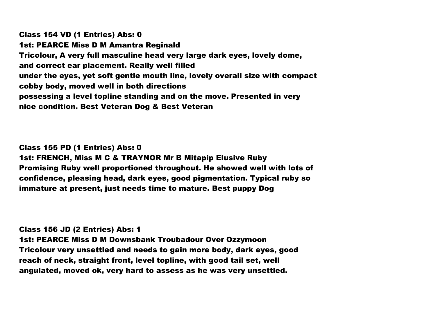Class 154 VD (1 Entries) Abs: 0 1st: PEARCE Miss D M Amantra Reginald Tricolour, A very full masculine head very large dark eyes, lovely dome, and correct ear placement. Really well filled under the eyes, yet soft gentle mouth line, lovely overall size with compact cobby body, moved well in both directions possessing a level topline standing and on the move. Presented in very nice condition. Best Veteran Dog & Best Veteran

Class 155 PD (1 Entries) Abs: 0 1st: FRENCH, Miss M C & TRAYNOR Mr B Mitapip Elusive Ruby Promising Ruby well proportioned throughout. He showed well with lots of confidence, pleasing head, dark eyes, good pigmentation. Typical ruby so immature at present, just needs time to mature. Best puppy Dog

Class 156 JD (2 Entries) Abs: 1 1st: PEARCE Miss D M Downsbank Troubadour Over Ozzymoon Tricolour very unsettled and needs to gain more body, dark eyes, good reach of neck, straight front, level topline, with good tail set, well angulated, moved ok, very hard to assess as he was very unsettled.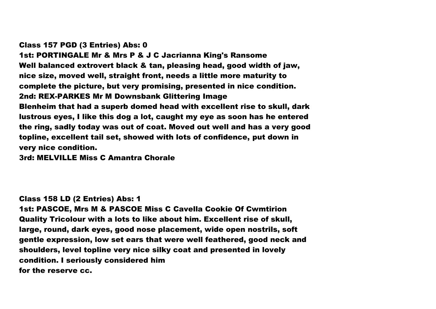#### Class 157 PGD (3 Entries) Abs: 0

1st: PORTINGALE Mr & Mrs P & J C Jacrianna King's Ransome Well balanced extrovert black & tan, pleasing head, good width of jaw, nice size, moved well, straight front, needs a little more maturity to complete the picture, but very promising, presented in nice condition. 2nd: REX-PARKES Mr M Downsbank Glittering Image Blenheim that had a superb domed head with excellent rise to skull, dark lustrous eyes, I like this dog a lot, caught my eye as soon has he entered the ring, sadly today was out of coat. Moved out well and has a very good topline, excellent tail set, showed with lots of confidence, put down in very nice condition.

3rd: MELVILLE Miss C Amantra Chorale

#### Class 158 LD (2 Entries) Abs: 1

1st: PASCOE, Mrs M & PASCOE Miss C Cavella Cookie Of Cwmtirion Quality Tricolour with a lots to like about him. Excellent rise of skull, large, round, dark eyes, good nose placement, wide open nostrils, soft gentle expression, low set ears that were well feathered, good neck and shoulders, level topline very nice silky coat and presented in lovely condition. I seriously considered him for the reserve cc.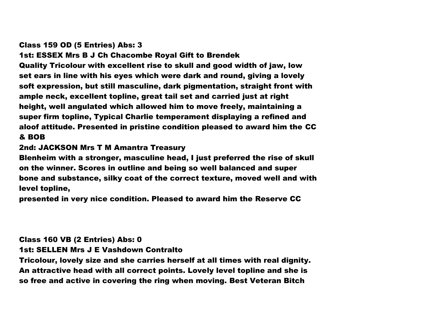### Class 159 OD (5 Entries) Abs: 3

1st: ESSEX Mrs B J Ch Chacombe Royal Gift to Brendek Quality Tricolour with excellent rise to skull and good width of jaw, low set ears in line with his eyes which were dark and round, giving a lovely soft expression, but still masculine, dark pigmentation, straight front with ample neck, excellent topline, great tail set and carried just at right height, well angulated which allowed him to move freely, maintaining a super firm topline, Typical Charlie temperament displaying a refined and aloof attitude. Presented in pristine condition pleased to award him the CC & BOB

## 2nd: JACKSON Mrs T M Amantra Treasury

Blenheim with a stronger, masculine head, I just preferred the rise of skull on the winner. Scores in outline and being so well balanced and super bone and substance, silky coat of the correct texture, moved well and with level topline,

presented in very nice condition. Pleased to award him the Reserve CC

# Class 160 VB (2 Entries) Abs: 0

1st: SELLEN Mrs J E Vashdown Contralto

Tricolour, lovely size and she carries herself at all times with real dignity. An attractive head with all correct points. Lovely level topline and she is so free and active in covering the ring when moving. Best Veteran Bitch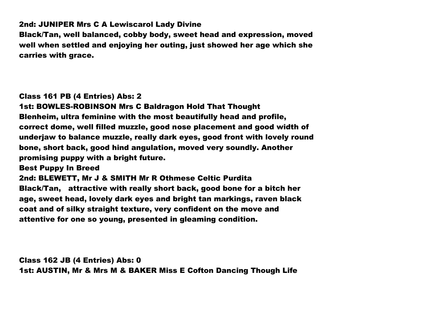2nd: JUNIPER Mrs C A Lewiscarol Lady Divine

Black/Tan, well balanced, cobby body, sweet head and expression, moved well when settled and enjoying her outing, just showed her age which she carries with grace.

### Class 161 PB (4 Entries) Abs: 2

1st: BOWLES-ROBINSON Mrs C Baldragon Hold That Thought Blenheim, ultra feminine with the most beautifully head and profile, correct dome, well filled muzzle, good nose placement and good width of underjaw to balance muzzle, really dark eyes, good front with lovely round bone, short back, good hind angulation, moved very soundly. Another promising puppy with a bright future.

Best Puppy In Breed

2nd: BLEWETT, Mr J & SMITH Mr R Othmese Celtic Purdita Black/Tan, attractive with really short back, good bone for a bitch her

age, sweet head, lovely dark eyes and bright tan markings, raven black coat and of silky straight texture, very confident on the move and attentive for one so young, presented in gleaming condition.

Class 162 JB (4 Entries) Abs: 0 1st: AUSTIN, Mr & Mrs M & BAKER Miss E Cofton Dancing Though Life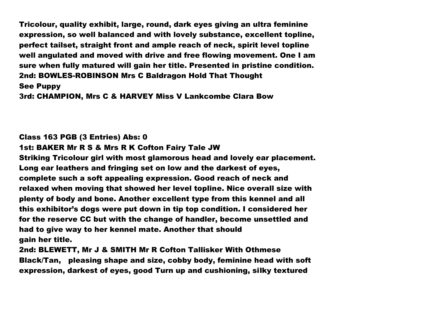Tricolour, quality exhibit, large, round, dark eyes giving an ultra feminine expression, so well balanced and with lovely substance, excellent topline, perfect tailset, straight front and ample reach of neck, spirit level topline well angulated and moved with drive and free flowing movement. One I am sure when fully matured will gain her title. Presented in pristine condition. 2nd: BOWLES-ROBINSON Mrs C Baldragon Hold That Thought See Puppy

3rd: CHAMPION, Mrs C & HARVEY Miss V Lankcombe Clara Bow

#### Class 163 PGB (3 Entries) Abs: 0

1st: BAKER Mr R S & Mrs R K Cofton Fairy Tale JW

Striking Tricolour girl with most glamorous head and lovely ear placement. Long ear leathers and fringing set on low and the darkest of eyes, complete such a soft appealing expression. Good reach of neck and relaxed when moving that showed her level topline. Nice overall size with plenty of body and bone. Another excellent type from this kennel and all this exhibitor's dogs were put down in tip top condition. I considered her for the reserve CC but with the change of handler, become unsettled and had to give way to her kennel mate. Another that should gain her title.

2nd: BLEWETT, Mr J & SMITH Mr R Cofton Tallisker With Othmese Black/Tan, pleasing shape and size, cobby body, feminine head with soft expression, darkest of eyes, good Turn up and cushioning, silky textured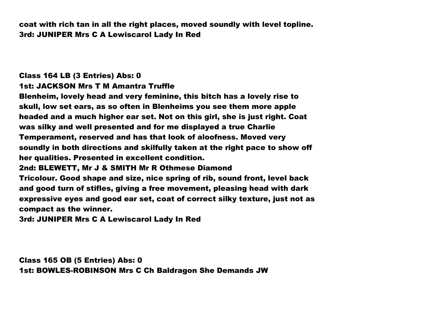coat with rich tan in all the right places, moved soundly with level topline. 3rd: JUNIPER Mrs C A Lewiscarol Lady In Red

# Class 164 LB (3 Entries) Abs: 0

1st: JACKSON Mrs T M Amantra Truffle

Blenheim, lovely head and very feminine, this bitch has a lovely rise to skull, low set ears, as so often in Blenheims you see them more apple headed and a much higher ear set. Not on this girl, she is just right. Coat was silky and well presented and for me displayed a true Charlie Temperament, reserved and has that look of aloofness. Moved very soundly in both directions and skilfully taken at the right pace to show off her qualities. Presented in excellent condition.

### 2nd: BLEWETT, Mr J & SMITH Mr R Othmese Diamond

Tricolour. Good shape and size, nice spring of rib, sound front, level back and good turn of stifles, giving a free movement, pleasing head with dark expressive eyes and good ear set, coat of correct silky texture, just not as compact as the winner.

3rd: JUNIPER Mrs C A Lewiscarol Lady In Red

Class 165 OB (5 Entries) Abs: 0 1st: BOWLES-ROBINSON Mrs C Ch Baldragon She Demands JW